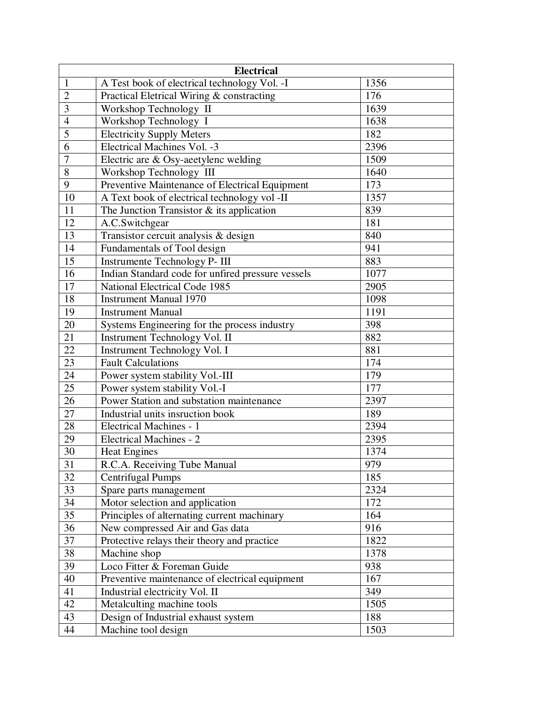| <b>Electrical</b> |                                                   |      |  |
|-------------------|---------------------------------------------------|------|--|
| $\mathbf{1}$      | A Test book of electrical technology Vol. -I      | 1356 |  |
| $\overline{2}$    | Practical Eletrical Wiring & constracting         | 176  |  |
| 3                 | Workshop Technology II                            | 1639 |  |
| $\overline{4}$    | Workshop Technology I                             | 1638 |  |
| 5                 | <b>Electricity Supply Meters</b>                  | 182  |  |
| 6                 | Electrical Machines Vol. -3                       | 2396 |  |
| $\boldsymbol{7}$  | Electric are $\&$ Osy-aeetylenc welding           | 1509 |  |
| 8                 | Workshop Technology III                           | 1640 |  |
| 9                 | Preventive Maintenance of Electrical Equipment    | 173  |  |
| 10                | A Text book of electrical technology vol -II      | 1357 |  |
| 11                | The Junction Transistor $&$ its application       | 839  |  |
| 12                | A.C.Switchgear                                    | 181  |  |
| 13                | Transistor cercuit analysis & design              | 840  |  |
| 14                | Fundamentals of Tool design                       | 941  |  |
| 15                | Instrumente Technology P- III                     | 883  |  |
| 16                | Indian Standard code for unfired pressure vessels | 1077 |  |
| 17                | National Electrical Code 1985                     | 2905 |  |
| 18                | <b>Instrument Manual 1970</b>                     | 1098 |  |
| 19                | <b>Instrument Manual</b>                          | 1191 |  |
| 20                | Systems Engineering for the process industry      | 398  |  |
| 21                | Instrument Technology Vol. II                     | 882  |  |
| 22                | Instrument Technology Vol. I                      | 881  |  |
| 23                | <b>Fault Calculations</b>                         | 174  |  |
| 24                | Power system stability Vol.-III                   | 179  |  |
| 25                | Power system stability Vol.-I                     | 177  |  |
| 26                | Power Station and substation maintenance          | 2397 |  |
| 27                | Industrial units insruction book                  | 189  |  |
| 28                | Electrical Machines - 1                           | 2394 |  |
| 29                | <b>Electrical Machines - 2</b>                    | 2395 |  |
| 30                | <b>Heat Engines</b>                               | 1374 |  |
| $\overline{31}$   | R.C.A. Receiving Tube Manual                      | 979  |  |
| 32                | <b>Centrifugal Pumps</b>                          | 185  |  |
| 33                | Spare parts management                            | 2324 |  |
| 34                | Motor selection and application                   | 172  |  |
| $\overline{35}$   | Principles of alternating current machinary       | 164  |  |
| 36                | New compressed Air and Gas data                   | 916  |  |
| 37                | Protective relays their theory and practice       | 1822 |  |
| 38                | Machine shop                                      | 1378 |  |
| 39                | Loco Fitter & Foreman Guide                       | 938  |  |
| 40                | Preventive maintenance of electrical equipment    | 167  |  |
| 41                | Industrial electricity Vol. II                    | 349  |  |
| 42                | Metalculting machine tools                        | 1505 |  |
| 43                | Design of Industrial exhaust system               | 188  |  |
| 44                | Machine tool design                               | 1503 |  |